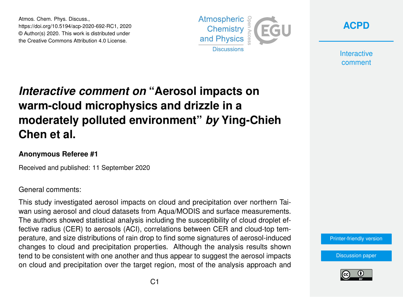Atmos. Chem. Phys. Discuss., https://doi.org/10.5194/acp-2020-692-RC1, 2020 © Author(s) 2020. This work is distributed under the Creative Commons Attribution 4.0 License.



**[ACPD](https://acp.copernicus.org/preprints/)**

**Interactive** comment

# *Interactive comment on* **"Aerosol impacts on warm-cloud microphysics and drizzle in a moderately polluted environment"** *by* **Ying-Chieh Chen et al.**

### **Anonymous Referee #1**

Received and published: 11 September 2020

### General comments:

This study investigated aerosol impacts on cloud and precipitation over northern Taiwan using aerosol and cloud datasets from Aqua/MODIS and surface measurements. The authors showed statistical analysis including the susceptibility of cloud droplet effective radius (CER) to aerosols (ACI), correlations between CER and cloud-top temperature, and size distributions of rain drop to find some signatures of aerosol-induced changes to cloud and precipitation properties. Although the analysis results shown tend to be consistent with one another and thus appear to suggest the aerosol impacts on cloud and precipitation over the target region, most of the analysis approach and

#### [Printer-friendly version](https://acp.copernicus.org/preprints/acp-2020-692/acp-2020-692-RC1-print.pdf)

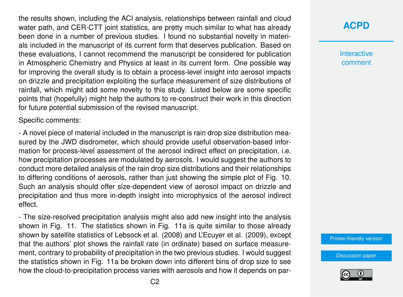the results shown, including the ACI analysis, relationships between rainfall and cloud water path, and CER-CTT joint statistics, are pretty much similar to what has already been done in a number of previous studies. I found no substantial novelty in materials included in the manuscript of its current form that deserves publication. Based on these evaluations, I cannot recommend the manuscript be considered for publication in Atmospheric Chemistry and Physics at least in its current form. One possible way for improving the overall study is to obtain a process-level insight into aerosol impacts on drizzle and precipitation exploiting the surface measurement of size distributions of rainfall, which might add some novelty to this study. Listed below are some specific points that (hopefully) might help the authors to re-construct their work in this direction for future potential submission of the revised manuscript.

Specific comments:

- A novel piece of material included in the manuscript is rain drop size distribution measured by the JWD disdrometer, which should provide useful observation-based information for process-level assessment of the aerosol indirect effect on precipitation, i.e. how precipitation processes are modulated by aerosols. I would suggest the authors to conduct more detailed analysis of the rain drop size distributions and their relationships to differing conditions of aerosols, rather than just showing the simple plot of Fig. 10. Such an analysis should offer size-dependent view of aerosol impact on drizzle and precipitation and thus more in-depth insight into microphysics of the aerosol indirect effect.

- The size-resolved precipitation analysis might also add new insight into the analysis shown in Fig. 11. The statistics shown in Fig. 11a is quite similar to those already shown by satellite statistics of Lebsock et al. (2008) and L'Ecuyer et al. (2009), except that the authors' plot shows the rainfall rate (in ordinate) based on surface measurement, contrary to probability of precipitation in the two previous studies. I would suggest the statistics shown in Fig. 11a be broken down into different bins of drop size to see how the cloud-to-precipitation process varies with aerosols and how it depends on par**[ACPD](https://acp.copernicus.org/preprints/)**

**Interactive** comment

[Printer-friendly version](https://acp.copernicus.org/preprints/acp-2020-692/acp-2020-692-RC1-print.pdf)

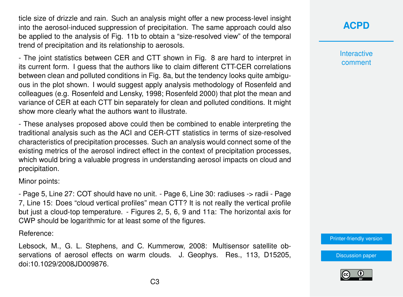ticle size of drizzle and rain. Such an analysis might offer a new process-level insight into the aerosol-induced suppression of precipitation. The same approach could also be applied to the analysis of Fig. 11b to obtain a "size-resolved view" of the temporal trend of precipitation and its relationship to aerosols.

- The joint statistics between CER and CTT shown in Fig. 8 are hard to interpret in its current form. I guess that the authors like to claim different CTT-CER correlations between clean and polluted conditions in Fig. 8a, but the tendency looks quite ambiguous in the plot shown. I would suggest apply analysis methodology of Rosenfeld and colleagues (e.g. Rosenfeld and Lensky, 1998; Rosenfeld 2000) that plot the mean and variance of CER at each CTT bin separately for clean and polluted conditions. It might show more clearly what the authors want to illustrate.

- These analyses proposed above could then be combined to enable interpreting the traditional analysis such as the ACI and CER-CTT statistics in terms of size-resolved characteristics of precipitation processes. Such an analysis would connect some of the existing metrics of the aerosol indirect effect in the context of precipitation processes, which would bring a valuable progress in understanding aerosol impacts on cloud and precipitation.

Minor points:

- Page 5, Line 27: COT should have no unit. - Page 6, Line 30: radiuses -> radii - Page 7, Line 15: Does "cloud vertical profiles" mean CTT? It is not really the vertical profile but just a cloud-top temperature. - Figures 2, 5, 6, 9 and 11a: The horizontal axis for CWP should be logarithmic for at least some of the figures.

Reference:

Lebsock, M., G. L. Stephens, and C. Kummerow, 2008: Multisensor satellite observations of aerosol effects on warm clouds. J. Geophys. Res., 113, D15205, doi:10.1029/2008JD009876.

# **[ACPD](https://acp.copernicus.org/preprints/)**

**Interactive** comment

[Printer-friendly version](https://acp.copernicus.org/preprints/acp-2020-692/acp-2020-692-RC1-print.pdf)